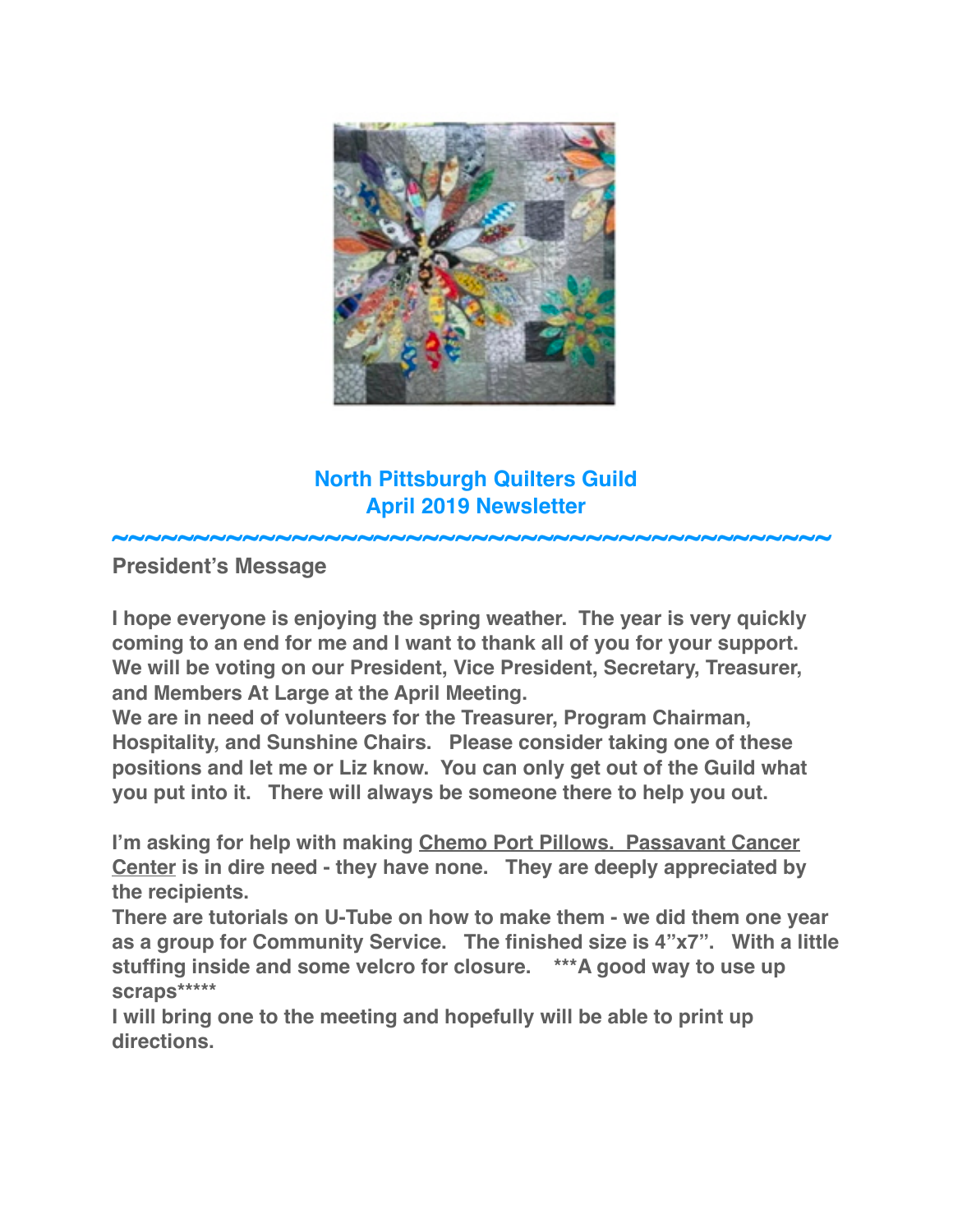

# **North Pittsburgh Quilters Guild April 2019 Newsletter**

**~~~~~~~~~~~~~~~~~~~~~~~~~~~~~~~~~~~~~~~~~~~~**

**President's Message**

**I hope everyone is enjoying the spring weather. The year is very quickly coming to an end for me and I want to thank all of you for your support. We will be voting on our President, Vice President, Secretary, Treasurer, and Members At Large at the April Meeting.**

**We are in need of volunteers for the Treasurer, Program Chairman, Hospitality, and Sunshine Chairs. Please consider taking one of these positions and let me or Liz know. You can only get out of the Guild what you put into it. There will always be someone there to help you out.**

**I'm asking for help with making Chemo Port Pillows. Passavant Cancer Center is in dire need - they have none. They are deeply appreciated by the recipients.**

**There are tutorials on U-Tube on how to make them - we did them one year as a group for Community Service. The finished size is 4"x7". With a little stuffing inside and some velcro for closure. \*\*\*A good way to use up scraps\*\*\*\*\***

**I will bring one to the meeting and hopefully will be able to print up directions.**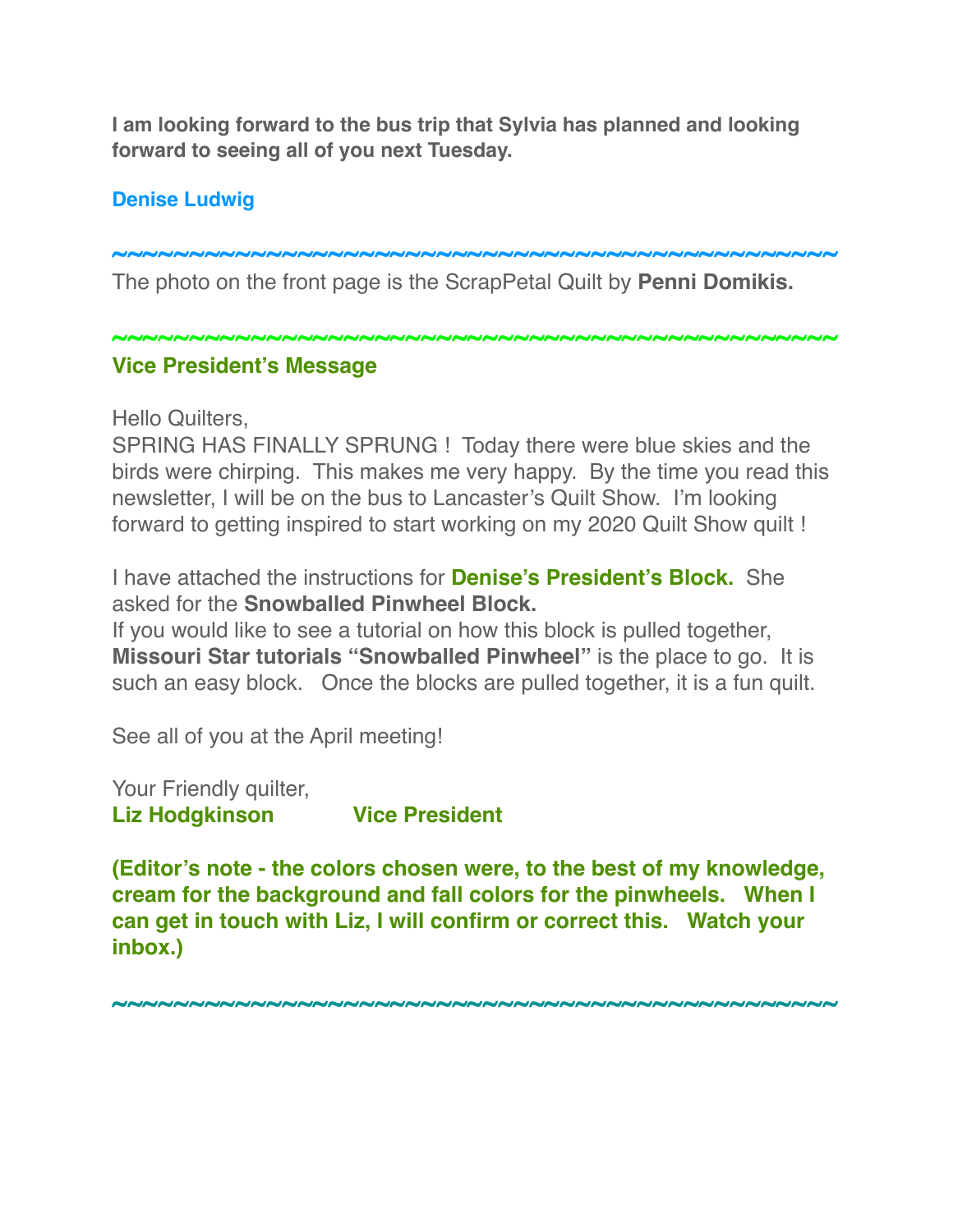**I am looking forward to the bus trip that Sylvia has planned and looking forward to seeing all of you next Tuesday.**

### **Denise Ludwig**

**~~~~~~~~~~~~~~~~~~~~~~~~~~~~~~~~~~~~~~~~~~~~~~~** The photo on the front page is the ScrapPetal Quilt by **Penni Domikis.**

**~~~~~~~~~~~~~~~~~~~~~~~~~~~~~~~~~~~~~~~~~~~~~~~**

## **Vice President's Message**

Hello Quilters,

SPRING HAS FINALLY SPRUNG ! Today there were blue skies and the birds were chirping. This makes me very happy. By the time you read this newsletter, I will be on the bus to Lancaster's Quilt Show. I'm looking forward to getting inspired to start working on my 2020 Quilt Show quilt !

I have attached the instructions for **Denise's President's Block.** She asked for the **Snowballed Pinwheel Block.** 

If you would like to see a tutorial on how this block is pulled together, **Missouri Star tutorials "Snowballed Pinwheel"** is the place to go. It is such an easy block. Once the blocks are pulled together, it is a fun quilt.

See all of you at the April meeting!

Your Friendly quilter, **Liz Hodgkinson Vice President**

**(Editor's note - the colors chosen were, to the best of my knowledge, cream for the background and fall colors for the pinwheels. When I can get in touch with Liz, I will confirm or correct this. Watch your inbox.)**

**~~~~~~~~~~~~~~~~~~~~~~~~~~~~~~~~~~~~~~~~~~~~~~~**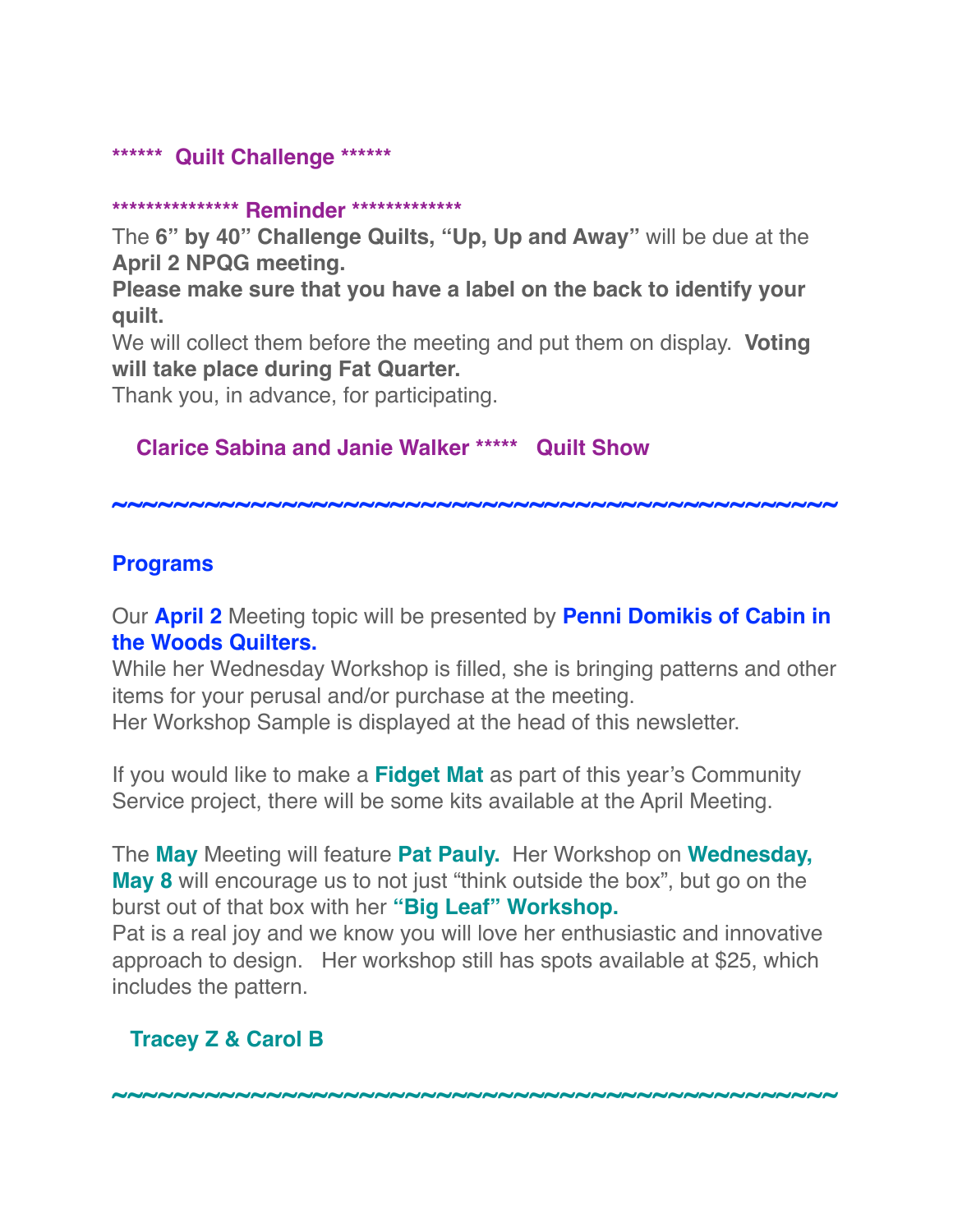#### **\*\*\*\*\*\* Quilt Challenge \*\*\*\*\*\***

#### **\*\*\*\*\*\*\*\*\*\*\*\*\*\*\* Reminder \*\*\*\*\*\*\*\*\*\*\*\*\***

The **6" by 40" Challenge Quilts, "Up, Up and Away"** will be due at the **April 2 NPQG meeting.**

**Please make sure that you have a label on the back to identify your quilt.**

We will collect them before the meeting and put them on display. **Voting will take place during Fat Quarter.**

Thank you, in advance, for participating.

#### **Clarice Sabina and Janie Walker \*\*\*\*\* Quilt Show**

**~~~~~~~~~~~~~~~~~~~~~~~~~~~~~~~~~~~~~~~~~~~~~~~**

#### **Programs**

Our **April 2** Meeting topic will be presented by **Penni Domikis of Cabin in the Woods Quilters.**

While her Wednesday Workshop is filled, she is bringing patterns and other items for your perusal and/or purchase at the meeting. Her Workshop Sample is displayed at the head of this newsletter.

If you would like to make a **Fidget Mat** as part of this year's Community Service project, there will be some kits available at the April Meeting.

The **May** Meeting will feature **Pat Pauly.** Her Workshop on **Wednesday, May 8** will encourage us to not just "think outside the box", but go on the burst out of that box with her **"Big Leaf" Workshop.** Pat is a real joy and we know you will love her enthusiastic and innovative approach to design. Her workshop still has spots available at \$25, which includes the pattern.

**~~~~~~~~~~~~~~~~~~~~~~~~~~~~~~~~~~~~~~~~~~~~~~~**

#### **Tracey Z & Carol B**